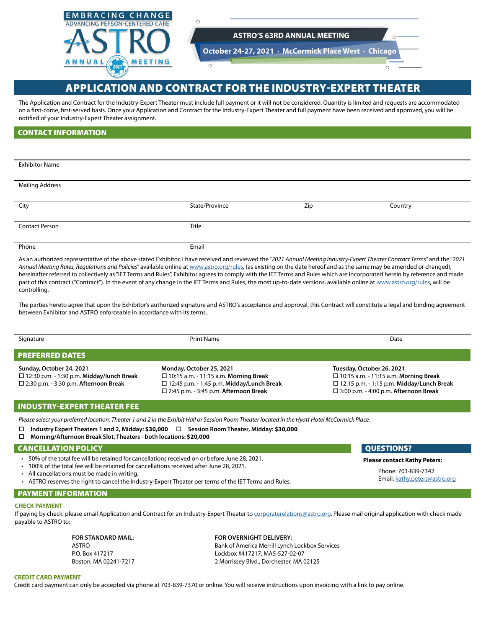

# APPLICATION AND CONTRACT FOR THE INDUSTRY-EXPERT THEATER

The Application and Contract for the Industry-Expert Theater must include full payment or it will not be considered. Quantity is limited and requests are accommodated on a first-come, first-served basis. Once your Application and Contract for the Industry-Expert Theater and full payment have been received and approved, you will be notified of your Industry-Expert Theater assignment.

# CONTACT INFORMATION

| <b>Exhibitor Name</b>  |                |     |         |
|------------------------|----------------|-----|---------|
|                        |                |     |         |
|                        |                |     |         |
| <b>Mailing Address</b> |                |     |         |
|                        |                |     |         |
|                        |                |     |         |
| City                   | State/Province | Zip | Country |
|                        |                |     |         |
|                        |                |     |         |
| <b>Contact Person</b>  | Title          |     |         |
|                        |                |     |         |
|                        |                |     |         |
| Phone                  | Email          |     |         |
|                        |                |     |         |

As an authorized representative of the above stated Exhibitor, I have received and reviewed the "*2021 Annual Meeting Industry-Expert Theater Contract Terms*" and the "*2021 Annual Meeting Rules, Regulations and Policies*" available online at [www.astro.org/rules](http://www.astro.org/rules), (as existing on the date hereof and as the same may be amended or changed), hereinafter referred to collectively as "IET Terms and Rules". Exhibitor agrees to comply with the IET Terms and Rules which are incorporated herein by reference and made part of this contract ("Contract"). In the event of any change in the IET Terms and Rules, the most up-to-date versions, available online at [www.astro.org/rules,](http://www.astro.org/rules) will be controlling.

The parties hereto agree that upon the Exhibitor's authorized signature and ASTRO's acceptance and approval, this Contract will constitute a legal and binding agreement between Exhibitor and ASTRO enforceable in accordance with its terms.

| Signature                                                                                                                       | Print Name                                                                                                                                                                         | Date                                                                                                                                                                          |  |
|---------------------------------------------------------------------------------------------------------------------------------|------------------------------------------------------------------------------------------------------------------------------------------------------------------------------------|-------------------------------------------------------------------------------------------------------------------------------------------------------------------------------|--|
| <b>PREFERRED DATES</b>                                                                                                          |                                                                                                                                                                                    |                                                                                                                                                                               |  |
| Sunday, October 24, 2021<br>$\Box$ 12:30 p.m. - 1:30 p.m. Midday/lunch Break<br>$\square$ 2:30 p.m. - 3:30 p.m. Afternoon Break | Monday, October 25, 2021<br>$\Box$ 10:15 a.m. - 11:15 a.m. Morning Break<br>$\square$ 12:45 p.m. - 1:45 p.m. Midday/Lunch Break<br>$\square$ 2:45 p.m. - 3:45 p.m. Afternoon Break | Tuesday, October 26, 2021<br>$\Box$ 10:15 a.m. - 11:15 a.m. Morning Break<br>$\Box$ 12:15 p.m. - 1:15 p.m. Midday/Lunch Break<br>$\Box$ 3:00 p.m. - 4:00 p.m. Afternoon Break |  |

# INDUSTRY-EXPERT THEATER FEE

*Please select your preferred location: Theater 1 and 2 in the Exhibit Hall or Session Room Theater located in the Hyatt Hotel McCormick Place.*

- **Industry Expert Theaters 1 and 2, Midday: \$30,000 Session Room Theater, Midday: \$30,000**
- **Morning/Afternoon Break Slot, Theaters both locations: \$20,000**

## CANCELLATION POLICY QUESTIONS?

- 50% of the total fee will be retained for cancellations received on or before June 28, 2021.
- 100% of the total fee will be retained for cancellations received after June 28, 2021.
- All cancellations must be made in writing.
- ASTRO reserves the right to cancel the Industry-Expert Theater per terms of the IET Terms and Rules.

### PAYMENT INFORMATION

#### **CHECK PAYMENT**

If paying by check, please email Application and Contract for an Industry-Expert Theater to [corporaterelations@astro.org.](mailto:corporaterelations%40astro.org?subject=) Please mail original application with check made payable to ASTRO to:

**FOR STANDARD MAIL: FOR OVERNIGHT DELIVERY:** ASTRO Bank of America Merrill Lynch Lockbox Services P.O. Box 417217 Lockbox #417217, MA5-527-02-07 Boston, MA 02241-7217 2 Morrissey Blvd., Dorchester, MA 02125

**Please contact Kathy Peters:**

Phone: 703-839-7342 Email: [kathy.peters@astro.org](mailto:kathy.peters%40astro.org?subject=)

**CREDIT CARD PAYMENT**

Credit card payment can only be accepted via phone at 703-839-7370 or online. You will receive instructions upon invoicing with a link to pay online.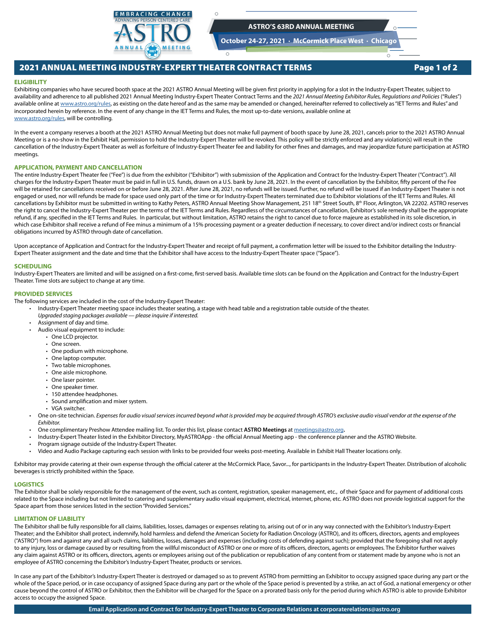

**October 24-27, 2021 · McCormick Place West · Chicago**

 $\overline{\Omega}$ 

# 2021 ANNUAL MEETING INDUSTRY-EXPERT THEATER CONTRACT TERMS Page 1 of 2

#### **ELIGIBILITY**

Exhibiting companies who have secured booth space at the 2021 ASTRO Annual Meeting will be given first priority in applying for a slot in the Industry-Expert Theater, subject to availability and adherence to all published 2021 Annual Meeting Industry-Expert Theater Contract Terms and the 2021 Annual Meeting Exhibitor Rules, Regulations and Policies ("Rules") available online at [www.astro.org/rules](http://www.astro.org/rules), as existing on the date hereof and as the same may be amended or changed, hereinafter referred to collectively as "IET Terms and Rules" and incorporated herein by reference. In the event of any change in the IET Terms and Rules, the most up-to-date versions, available online at [www.astro.org/rules](http://www.astro.org/rules), will be controlling.

 $\circ$ 

In the event a company reserves a booth at the 2021 ASTRO Annual Meeting but does not make full payment of booth space by June 28, 2021, cancels prior to the 2021 ASTRO Annual Meeting or is a no-show in the Exhibit Hall, permission to hold the Industry-Expert Theater will be revoked. This policy will be strictly enforced and any violation(s) will result in the cancellation of the Industry-Expert Theater as well as forfeiture of Industry-Expert Theater fee and liability for other fines and damages, and may jeopardize future participation at ASTRO meetings.

#### **APPLICATION, PAYMENT AND CANCELLATION**

The entire Industry-Expert Theater fee ("Fee") is due from the exhibitor ("Exhibitor") with submission of the Application and Contract for the Industry-Expert Theater ("Contract"). All charges for the Industry-Expert Theater must be paid in full in U.S. funds, drawn on a U.S. bank by June 28, 2021. In the event of cancellation by the Exhibitor, fifty percent of the Fee will be retained for cancellations received on or before June 28, 2021. After June 28, 2021, no refunds will be issued. Further, no refund will be issued if an Industry-Expert Theater is not engaged or used, nor will refunds be made for space used only part of the time or for Industry-Expert Theaters terminated due to Exhibitor violations of the IET Terms and Rules. All cancellations by Exhibitor must be submitted in writing to Kathy Peters, ASTRO Annual Meeting Show Management, 251 18<sup>th</sup> Street South, 8<sup>th</sup> Floor, Arlington, VA 22202. ASTRO reserves the right to cancel the Industry-Expert Theater per the terms of the IET Terms and Rules. Regardless of the circumstances of cancellation, Exhibitor's sole remedy shall be the appropriate refund, if any, specified in the IET Terms and Rules. In particular, but without limitation, ASTRO retains the right to cancel due to force majeure as established in its sole discretion, in which case Exhibitor shall receive a refund of Fee minus a minimum of a 15% processing payment or a greater deduction if necessary, to cover direct and/or indirect costs or financial obligations incurred by ASTRO through date of cancellation.

Upon acceptance of Application and Contract for the Industry-Expert Theater and receipt of full payment, a confirmation letter will be issued to the Exhibitor detailing the Industry-Expert Theater assignment and the date and time that the Exhibitor shall have access to the Industry-Expert Theater space ("Space").

#### **SCHEDULING**

Industry-Expert Theaters are limited and will be assigned on a first-come, first-served basis. Available time slots can be found on the Application and Contract for the Industry-Expert Theater. Time slots are subject to change at any time.

#### **PROVIDED SERVICES**

The following services are included in the cost of the Industry-Expert Theater:

- Industry-Expert Theater meeting space includes theater seating, a stage with head table and a registration table outside of the theater.
	- *Upgraded staging packages available* — *please inquire if interested.*
	- Assignment of day and time.
	- Audio visual equipment to include:
		- One LCD projector.
		- One screen.
		- One podium with microphone.
		- One laptop computer.
		- Two table microphones.
		- One aisle microphone.
		- One laser pointer.
		- One speaker timer.
		- 150 attendee headphones.
		- Sound amplification and mixer system.
		- VGA switcher.
	- One on-site technician. *Expenses for audio visual services incurred beyond what is provided may be acquired through ASTRO's exclusive audio visual vendor at the expense of the Exhibitor.*
	- One complimentary Preshow Attendee mailing list. To order this list, please contact **ASTRO Meetings** at [meetings@astro.org](mailto:meetings%40astro.org?subject=)**.**
	- Industry-Expert Theater listed in the Exhibitor Directory, MyASTROApp the official Annual Meeting app the conference planner and the ASTRO Website.
	- Program signage outside of the Industry-Expert Theater.
	- Video and Audio Package capturing each session with links to be provided four weeks post-meeting. Available in Exhibit Hall Theater locations only.

Exhibitor may provide catering at their own expense through the official caterer at the McCormick Place, Savor..., for participants in the Industry-Expert Theater. Distribution of alcoholic beverages is strictly prohibited within the Space.

#### **LOGISTICS**

The Exhibitor shall be solely responsible for the management of the event, such as content, registration, speaker management, etc., of their Space and for payment of additional costs related to the Space including but not limited to catering and supplementary audio visual equipment, electrical, internet, phone, etc. ASTRO does not provide logistical support for the Space apart from those services listed in the section "Provided Services."

#### **LIMITATION OF LIABILITY**

The Exhibitor shall be fully responsible for all claims, liabilities, losses, damages or expenses relating to, arising out of or in any way connected with the Exhibitor's Industry-Expert Theater; and the Exhibitor shall protect, indemnify, hold harmless and defend the American Society for Radiation Oncology (ASTRO), and its officers, directors, agents and employees ("ASTRO") from and against any and all such claims, liabilities, losses, damages and expenses (including costs of defending against such); provided that the foregoing shall not apply to any injury, loss or damage caused by or resulting from the willful misconduct of ASTRO or one or more of its officers, directors, agents or employees. The Exhibitor further waives any claim against ASTRO or its officers, directors, agents or employees arising out of the publication or republication of any content from or statement made by anyone who is not an employee of ASTRO concerning the Exhibitor's Industry-Expert Theater, products or services.

In case any part of the Exhibitor's Industry-Expert Theater is destroyed or damaged so as to prevent ASTRO from permitting an Exhibitor to occupy assigned space during any part or the whole of the Space period, or in case occupancy of assigned Space during any part or the whole of the Space period is prevented by a strike, an act of God, a national emergency or other cause beyond the control of ASTRO or Exhibitor, then the Exhibitor will be charged for the Space on a prorated basis only for the period during which ASTRO is able to provide Exhibitor access to occupy the assigned Space.